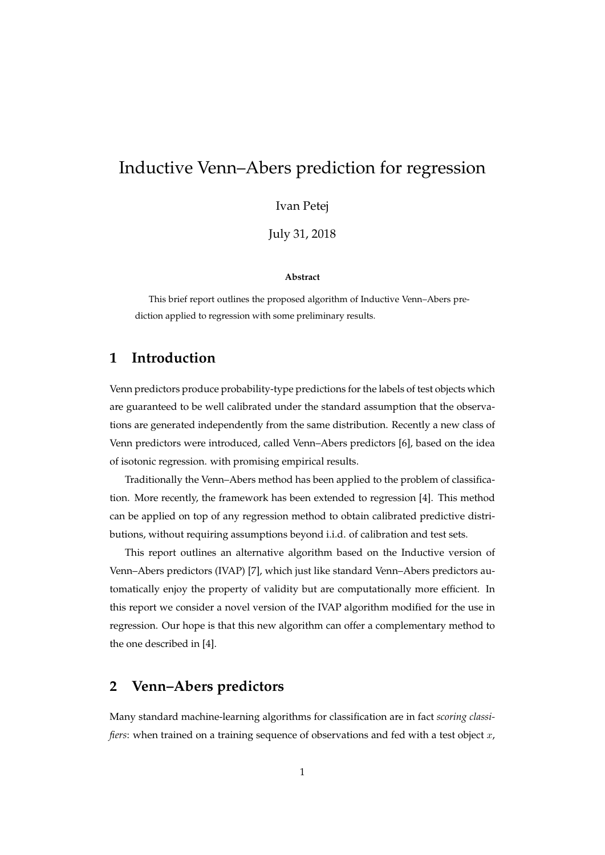# Inductive Venn–Abers prediction for regression

Ivan Petej

July 31, 2018

#### **Abstract**

This brief report outlines the proposed algorithm of Inductive Venn–Abers prediction applied to regression with some preliminary results.

# **1 Introduction**

Venn predictors produce probability-type predictions for the labels of test objects which are guaranteed to be well calibrated under the standard assumption that the observations are generated independently from the same distribution. Recently a new class of Venn predictors were introduced, called Venn–Abers predictors [6], based on the idea of isotonic regression. with promising empirical results.

Traditionally the Venn–Abers method has been applied to the problem of classification. More recently, the framework has been extended to regression [4]. This method can be applied on top of any regression method to obtain calibrated predictive distributions, without requiring assumptions beyond i.i.d. of calibration and test sets.

This report outlines an alternative algorithm based on the Inductive version of Venn–Abers predictors (IVAP) [7], which just like standard Venn–Abers predictors automatically enjoy the property of validity but are computationally more efficient. In this report we consider a novel version of the IVAP algorithm modified for the use in regression. Our hope is that this new algorithm can offer a complementary method to the one described in [4].

### **2 Venn–Abers predictors**

Many standard machine-learning algorithms for classification are in fact *scoring classifiers*: when trained on a training sequence of observations and fed with a test object x,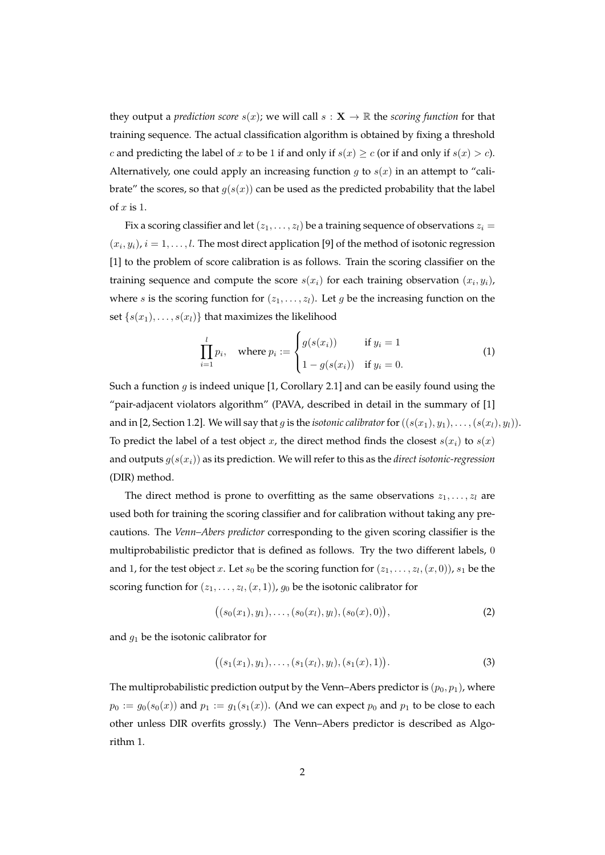they output a *prediction score*  $s(x)$ ; we will call  $s : \mathbf{X} \to \mathbb{R}$  the *scoring function* for that training sequence. The actual classification algorithm is obtained by fixing a threshold c and predicting the label of x to be 1 if and only if  $s(x) \ge c$  (or if and only if  $s(x) > c$ ). Alternatively, one could apply an increasing function  $g$  to  $s(x)$  in an attempt to "calibrate" the scores, so that  $g(s(x))$  can be used as the predicted probability that the label of  $x$  is 1.

Fix a scoring classifier and let  $(z_1, \ldots, z_l)$  be a training sequence of observations  $z_i =$  $(x_i, y_i)$ ,  $i = 1, \ldots, l$ . The most direct application [9] of the method of isotonic regression [1] to the problem of score calibration is as follows. Train the scoring classifier on the training sequence and compute the score  $s(x_i)$  for each training observation  $(x_i, y_i)$ , where s is the scoring function for  $(z_1, \ldots, z_l)$ . Let g be the increasing function on the set { $s(x_1), \ldots, s(x_l)$ } that maximizes the likelihood

$$
\prod_{i=1}^{l} p_i, \quad \text{where } p_i := \begin{cases} g(s(x_i)) & \text{if } y_i = 1 \\ 1 - g(s(x_i)) & \text{if } y_i = 0. \end{cases}
$$
 (1)

Such a function g is indeed unique  $[1,$  Corollary 2.1] and can be easily found using the "pair-adjacent violators algorithm" (PAVA, described in detail in the summary of [1] and in [2, Section 1.2]. We will say that g is the *isotonic calibrator* for  $((s(x_1), y_1), \ldots, (s(x_l), y_l))$ . To predict the label of a test object x, the direct method finds the closest  $s(x_i)$  to  $s(x)$ and outputs g(s(xi)) as its prediction. We will refer to this as the *direct isotonic-regression* (DIR) method.

The direct method is prone to overfitting as the same observations  $z_1, \ldots, z_l$  are used both for training the scoring classifier and for calibration without taking any precautions. The *Venn–Abers predictor* corresponding to the given scoring classifier is the multiprobabilistic predictor that is defined as follows. Try the two different labels, 0 and 1, for the test object  $x$ . Let  $s_0$  be the scoring function for  $(z_1, \ldots, z_l, (x, 0))$ ,  $s_1$  be the scoring function for  $(z_1, \ldots, z_l, (x, 1))$ ,  $g_0$  be the isotonic calibrator for

$$
((s_0(x_1), y_1), \ldots, (s_0(x_l), y_l), (s_0(x), 0)), \qquad (2)
$$

and  $g_1$  be the isotonic calibrator for

$$
((s_1(x_1), y_1), \ldots, (s_1(x_l), y_l), (s_1(x), 1)). \tag{3}
$$

The multiprobabilistic prediction output by the Venn–Abers predictor is  $(p_0, p_1)$ , where  $p_0 := g_0(s_0(x))$  and  $p_1 := g_1(s_1(x))$ . (And we can expect  $p_0$  and  $p_1$  to be close to each other unless DIR overfits grossly.) The Venn–Abers predictor is described as Algorithm 1.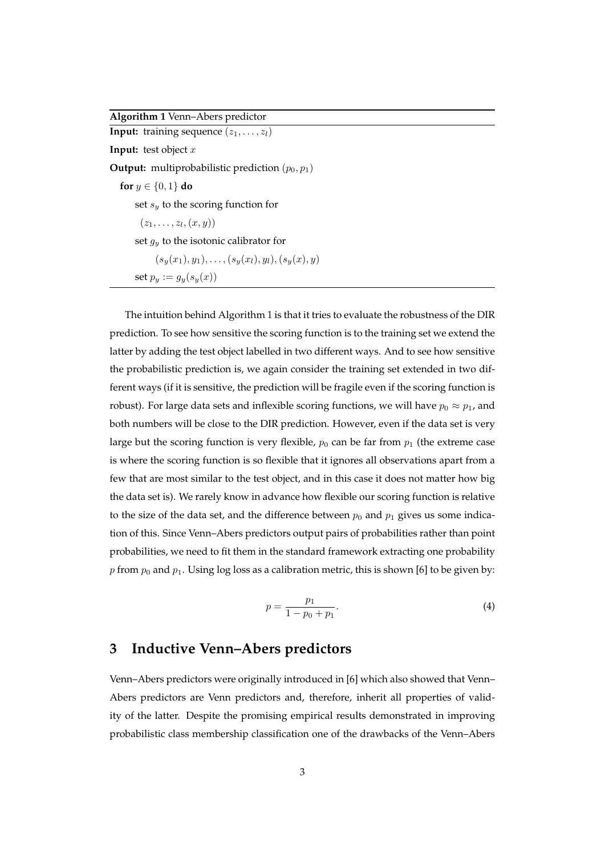**Algorithm 1** Venn–Abers predictor

**Input:** training sequence  $(z_1, \ldots, z_l)$ **Input:** test object x **Output:** multiprobabilistic prediction  $(p_0, p_1)$ **for**  $y \in \{0, 1\}$  **do** set  $s_y$  to the scoring function for  $(z_1, \ldots, z_l, (x, y))$ set  $q_u$  to the isotonic calibrator for  $(s_y(x_1), y_1), \ldots, (s_y(x_l), y_l), (s_y(x), y)$ set  $p_y := g_y(s_y(x))$ 

The intuition behind Algorithm 1 is that it tries to evaluate the robustness of the DIR prediction. To see how sensitive the scoring function is to the training set we extend the latter by adding the test object labelled in two different ways. And to see how sensitive the probabilistic prediction is, we again consider the training set extended in two different ways (if it is sensitive, the prediction will be fragile even if the scoring function is robust). For large data sets and inflexible scoring functions, we will have  $p_0 \approx p_1$ , and both numbers will be close to the DIR prediction. However, even if the data set is very large but the scoring function is very flexible,  $p_0$  can be far from  $p_1$  (the extreme case is where the scoring function is so flexible that it ignores all observations apart from a few that are most similar to the test object, and in this case it does not matter how big the data set is). We rarely know in advance how flexible our scoring function is relative to the size of the data set, and the difference between  $p_0$  and  $p_1$  gives us some indication of this. Since Venn–Abers predictors output pairs of probabilities rather than point probabilities, we need to fit them in the standard framework extracting one probability p from  $p_0$  and  $p_1$ . Using log loss as a calibration metric, this is shown [6] to be given by:

$$
p = \frac{p_1}{1 - p_0 + p_1}.\tag{4}
$$

# **3 Inductive Venn–Abers predictors**

Venn–Abers predictors were originally introduced in [6] which also showed that Venn– Abers predictors are Venn predictors and, therefore, inherit all properties of validity of the latter. Despite the promising empirical results demonstrated in improving probabilistic class membership classification one of the drawbacks of the Venn–Abers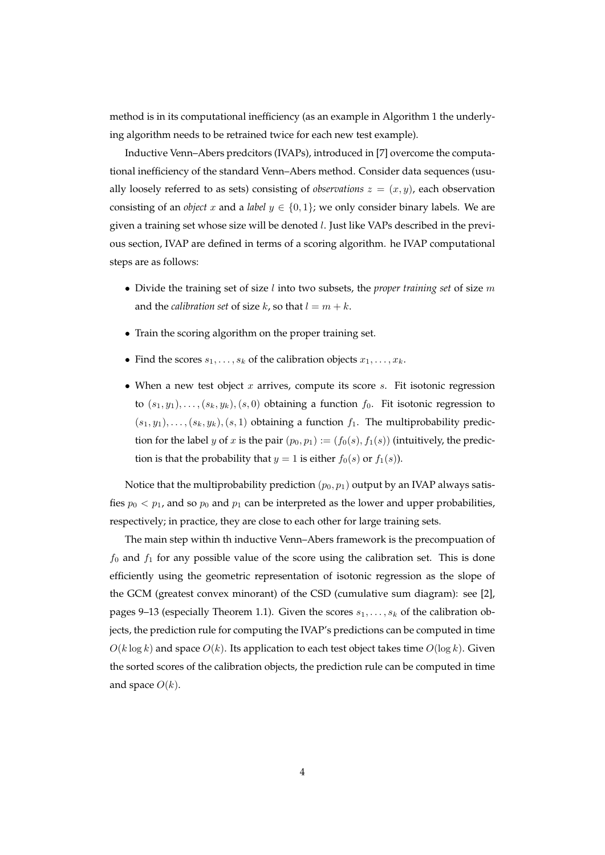method is in its computational inefficiency (as an example in Algorithm 1 the underlying algorithm needs to be retrained twice for each new test example).

Inductive Venn–Abers predcitors (IVAPs), introduced in [7] overcome the computational inefficiency of the standard Venn–Abers method. Consider data sequences (usually loosely referred to as sets) consisting of *observations*  $z = (x, y)$ , each observation consisting of an *object* x and a *label*  $y \in \{0, 1\}$ ; we only consider binary labels. We are given a training set whose size will be denoted l. Just like VAPs described in the previous section, IVAP are defined in terms of a scoring algorithm. he IVAP computational steps are as follows:

- Divide the training set of size l into two subsets, the *proper training set* of size m and the *calibration set* of size k, so that  $l = m + k$ .
- Train the scoring algorithm on the proper training set.
- Find the scores  $s_1, \ldots, s_k$  of the calibration objects  $x_1, \ldots, x_k$ .
- When a new test object  $x$  arrives, compute its score  $s$ . Fit isotonic regression to  $(s_1, y_1), \ldots, (s_k, y_k), (s, 0)$  obtaining a function  $f_0$ . Fit isotonic regression to  $(s_1, y_1), \ldots, (s_k, y_k), (s, 1)$  obtaining a function  $f_1$ . The multiprobability prediction for the label y of x is the pair  $(p_0, p_1) := (f_0(s), f_1(s))$  (intuitively, the prediction is that the probability that  $y = 1$  is either  $f_0(s)$  or  $f_1(s)$ ).

Notice that the multiprobability prediction  $(p_0, p_1)$  output by an IVAP always satisfies  $p_0 < p_1$ , and so  $p_0$  and  $p_1$  can be interpreted as the lower and upper probabilities, respectively; in practice, they are close to each other for large training sets.

The main step within th inductive Venn–Abers framework is the precompuation of  $f_0$  and  $f_1$  for any possible value of the score using the calibration set. This is done efficiently using the geometric representation of isotonic regression as the slope of the GCM (greatest convex minorant) of the CSD (cumulative sum diagram): see [2], pages 9–13 (especially Theorem 1.1). Given the scores  $s_1, \ldots, s_k$  of the calibration objects, the prediction rule for computing the IVAP's predictions can be computed in time  $O(k \log k)$  and space  $O(k)$ . Its application to each test object takes time  $O(\log k)$ . Given the sorted scores of the calibration objects, the prediction rule can be computed in time and space  $O(k)$ .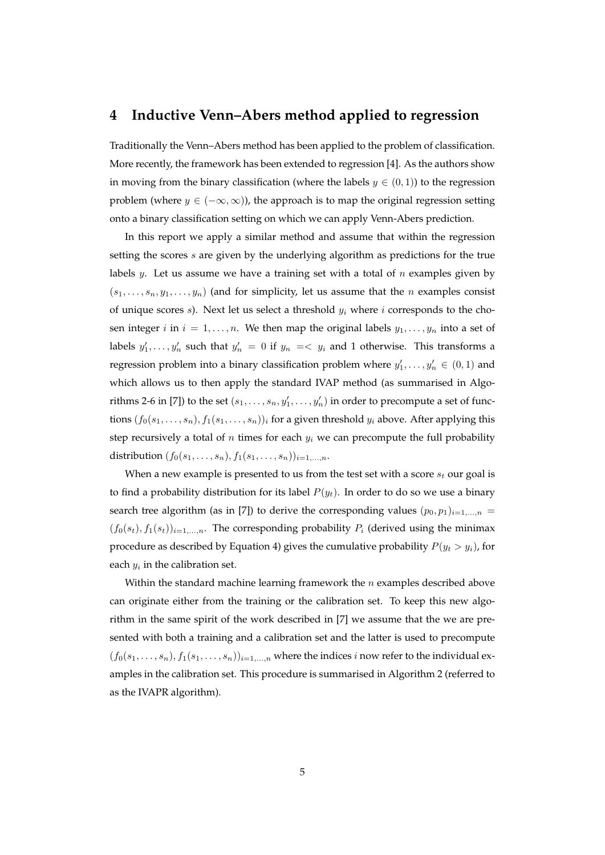### **4 Inductive Venn–Abers method applied to regression**

Traditionally the Venn–Abers method has been applied to the problem of classification. More recently, the framework has been extended to regression [4]. As the authors show in moving from the binary classification (where the labels  $y \in (0,1)$ ) to the regression problem (where  $y \in (-\infty, \infty)$ ), the approach is to map the original regression setting onto a binary classification setting on which we can apply Venn-Abers prediction.

In this report we apply a similar method and assume that within the regression setting the scores s are given by the underlying algorithm as predictions for the true labels y. Let us assume we have a training set with a total of  $n$  examples given by  $(s_1, \ldots, s_n, y_1, \ldots, y_n)$  (and for simplicity, let us assume that the *n* examples consist of unique scores s). Next let us select a threshold  $y_i$  where i corresponds to the chosen integer i in  $i = 1, \ldots, n$ . We then map the original labels  $y_1, \ldots, y_n$  into a set of labels  $y'_1, \ldots, y'_n$  such that  $y'_n = 0$  if  $y_n = \langle y_i \rangle$  and 1 otherwise. This transforms a regression problem into a binary classification problem where  $y'_1, \ldots, y'_n \in (0,1)$  and which allows us to then apply the standard IVAP method (as summarised in Algorithms 2-6 in [7]) to the set  $(s_1, \ldots, s_n, y'_1, \ldots, y'_n)$  in order to precompute a set of functions  $(f_0(s_1, \ldots, s_n), f_1(s_1, \ldots, s_n))_i$  for a given threshold  $y_i$  above. After applying this step recursively a total of  $n$  times for each  $y_i$  we can precompute the full probability distribution  $(f_0(s_1, ..., s_n), f_1(s_1, ..., s_n))_{i=1,...,n}$ .

When a new example is presented to us from the test set with a score  $s_t$  our goal is to find a probability distribution for its label  $P(y_t)$ . In order to do so we use a binary search tree algorithm (as in [7]) to derive the corresponding values  $(p_0, p_1)_{i=1,...,n}$  =  $(f_0(s_t), f_1(s_t))_{i=1,\dots,n}$ . The corresponding probability  $P_i$  (derived using the minimax procedure as described by Equation 4) gives the cumulative probability  $P(y_t > y_i)$ , for each  $y_i$  in the calibration set.

Within the standard machine learning framework the  $n$  examples described above can originate either from the training or the calibration set. To keep this new algorithm in the same spirit of the work described in [7] we assume that the we are presented with both a training and a calibration set and the latter is used to precompute  $(f_0(s_1, \ldots, s_n), f_1(s_1, \ldots, s_n))_{i=1,\ldots,n}$  where the indices i now refer to the individual examples in the calibration set. This procedure is summarised in Algorithm 2 (referred to as the IVAPR algorithm).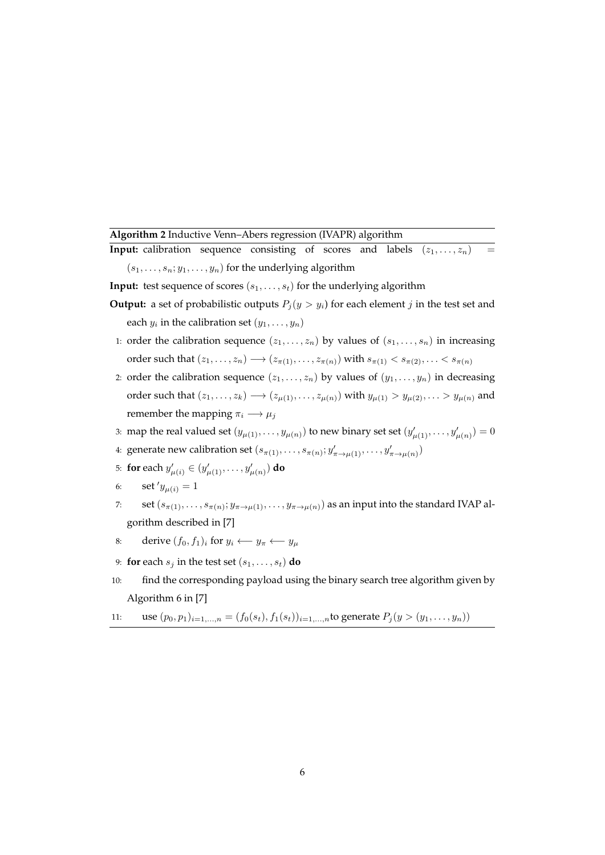**Algorithm 2** Inductive Venn–Abers regression (IVAPR) algorithm

**Input:** calibration sequence consisting of scores and labels  $(z_1, \ldots, z_n)$  $(s_1, \ldots, s_n; y_1, \ldots, y_n)$  for the underlying algorithm

- **Input:** test sequence of scores  $(s_1, \ldots, s_t)$  for the underlying algorithm
- **Output:** a set of probabilistic outputs  $P_i(y > y_i)$  for each element j in the test set and each  $y_i$  in the calibration set  $(y_1, \ldots, y_n)$
- 1: order the calibration sequence  $(z_1, \ldots, z_n)$  by values of  $(s_1, \ldots, s_n)$  in increasing order such that  $(z_1, \ldots, z_n) \longrightarrow (z_{\pi(1)}, \ldots, z_{\pi(n)})$  with  $s_{\pi(1)} < s_{\pi(2)}, \ldots < s_{\pi(n)}$
- 2: order the calibration sequence  $(z_1, \ldots, z_n)$  by values of  $(y_1, \ldots, y_n)$  in decreasing order such that  $(z_1, ..., z_k) \longrightarrow (z_{\mu(1)}, ..., z_{\mu(n)})$  with  $y_{\mu(1)} > y_{\mu(2)}, ... > y_{\mu(n)}$  and remember the mapping  $\pi_i \longrightarrow \mu_i$
- 3: map the real valued set  $(y_{\mu(1)},...,y_{\mu(n)})$  to new binary set set  $(y'_{\mu(1)},...,y'_{\mu(n)})=0$
- 4: generate new calibration set  $(s_{\pi(1)}, \ldots, s_{\pi(n)}; y'_{\pi \to \mu(1)}, \ldots, y'_{\pi \to \mu(n)})$
- 5: **for** each  $y'_{\mu(i)} \in (y'_{\mu(1)}, \ldots, y'_{\mu(n)})$  **do**
- 6: **set**  $y_{\mu(i)} = 1$
- 7: set  $(s_{\pi(1)},\ldots,s_{\pi(n)};y_{\pi\to\mu(1)},\ldots,y_{\pi\to\mu(n)})$  as an input into the standard IVAP algorithm described in [7]
- 8: derive  $(f_0, f_1)_i$  for  $y_i \leftarrow y_\pi \leftarrow y_\mu$
- 9: **for** each  $s_i$  in the test set  $(s_1, \ldots, s_t)$  **do**
- 10: find the corresponding payload using the binary search tree algorithm given by Algorithm 6 in [7]
- 11: use  $(p_0, p_1)_{i=1,...,n} = (f_0(s_t), f_1(s_t))_{i=1,...,n}$ to generate  $P_j(y > (y_1,..., y_n))$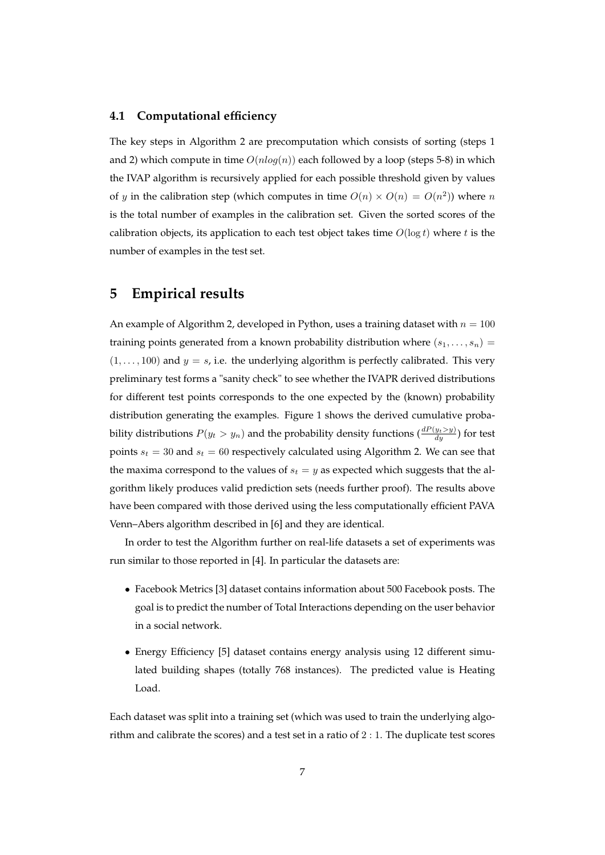#### **4.1 Computational efficiency**

The key steps in Algorithm 2 are precomputation which consists of sorting (steps 1 and 2) which compute in time  $O(n \log(n))$  each followed by a loop (steps 5-8) in which the IVAP algorithm is recursively applied for each possible threshold given by values of y in the calibration step (which computes in time  $O(n) \times O(n) = O(n^2)$ ) where n is the total number of examples in the calibration set. Given the sorted scores of the calibration objects, its application to each test object takes time  $O(\log t)$  where t is the number of examples in the test set.

# **5 Empirical results**

An example of Algorithm 2, developed in Python, uses a training dataset with  $n = 100$ training points generated from a known probability distribution where  $(s_1, \ldots, s_n)$  =  $(1, \ldots, 100)$  and  $y = s$ , i.e. the underlying algorithm is perfectly calibrated. This very preliminary test forms a "sanity check" to see whether the IVAPR derived distributions for different test points corresponds to the one expected by the (known) probability distribution generating the examples. Figure 1 shows the derived cumulative probability distributions  $P(y_t > y_n)$  and the probability density functions  $(\frac{dP(y_t > y)}{dy})$  for test points  $s_t = 30$  and  $s_t = 60$  respectively calculated using Algorithm 2. We can see that the maxima correspond to the values of  $s_t = y$  as expected which suggests that the algorithm likely produces valid prediction sets (needs further proof). The results above have been compared with those derived using the less computationally efficient PAVA Venn–Abers algorithm described in [6] and they are identical.

In order to test the Algorithm further on real-life datasets a set of experiments was run similar to those reported in [4]. In particular the datasets are:

- Facebook Metrics [3] dataset contains information about 500 Facebook posts. The goal is to predict the number of Total Interactions depending on the user behavior in a social network.
- Energy Efficiency [5] dataset contains energy analysis using 12 different simulated building shapes (totally 768 instances). The predicted value is Heating Load.

Each dataset was split into a training set (which was used to train the underlying algorithm and calibrate the scores) and a test set in a ratio of 2 : 1. The duplicate test scores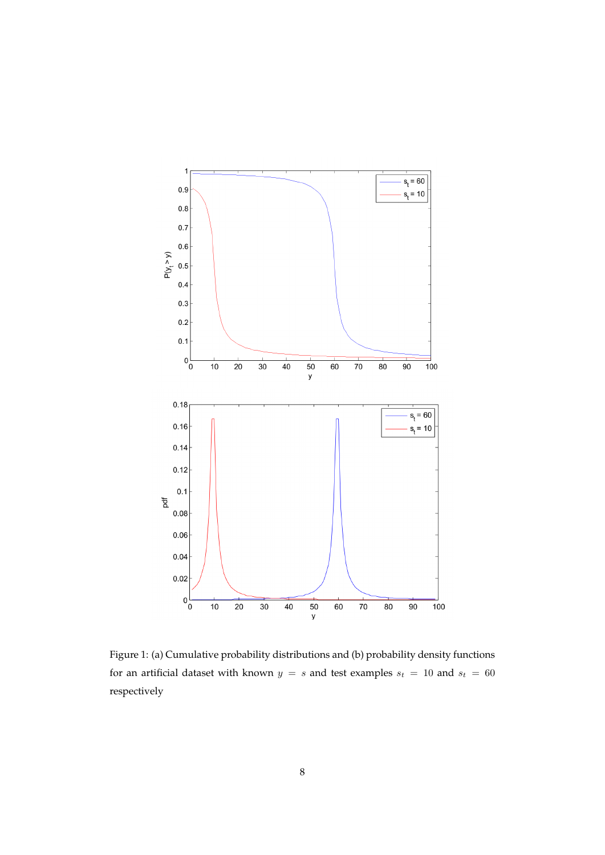

Figure 1: (a) Cumulative probability distributions and (b) probability density functions for an artificial dataset with known  $y = s$  and test examples  $s_t = 10$  and  $s_t = 60$ respectively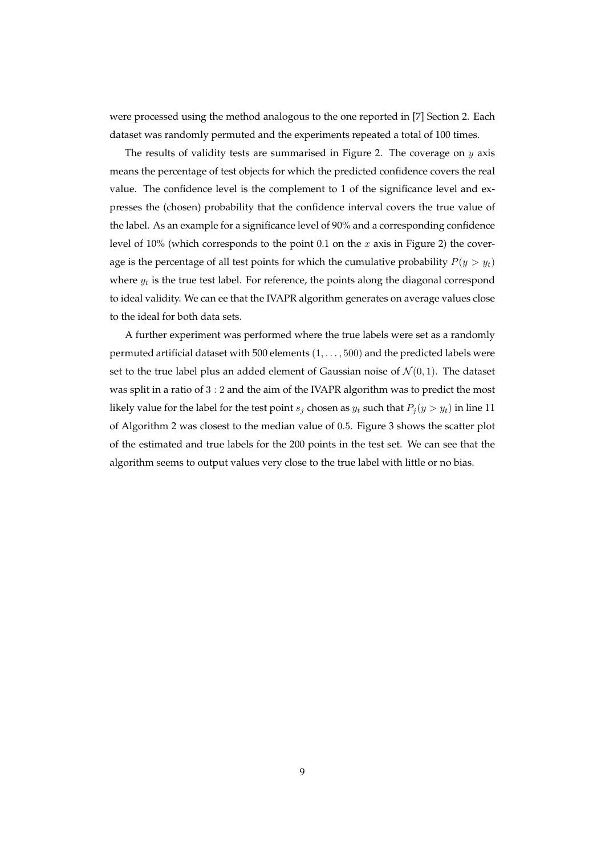were processed using the method analogous to the one reported in [7] Section 2. Each dataset was randomly permuted and the experiments repeated a total of 100 times.

The results of validity tests are summarised in Figure 2. The coverage on  $y$  axis means the percentage of test objects for which the predicted confidence covers the real value. The confidence level is the complement to 1 of the significance level and expresses the (chosen) probability that the confidence interval covers the true value of the label. As an example for a significance level of 90% and a corresponding confidence level of 10% (which corresponds to the point 0.1 on the x axis in Figure 2) the coverage is the percentage of all test points for which the cumulative probability  $P(y > y_t)$ where  $y_t$  is the true test label. For reference, the points along the diagonal correspond to ideal validity. We can ee that the IVAPR algorithm generates on average values close to the ideal for both data sets.

A further experiment was performed where the true labels were set as a randomly permuted artificial dataset with 500 elements  $(1, \ldots, 500)$  and the predicted labels were set to the true label plus an added element of Gaussian noise of  $\mathcal{N}(0, 1)$ . The dataset was split in a ratio of 3 : 2 and the aim of the IVAPR algorithm was to predict the most likely value for the label for the test point  $s_j$  chosen as  $y_t$  such that  $P_j(y > y_t)$  in line 11 of Algorithm 2 was closest to the median value of 0.5. Figure 3 shows the scatter plot of the estimated and true labels for the 200 points in the test set. We can see that the algorithm seems to output values very close to the true label with little or no bias.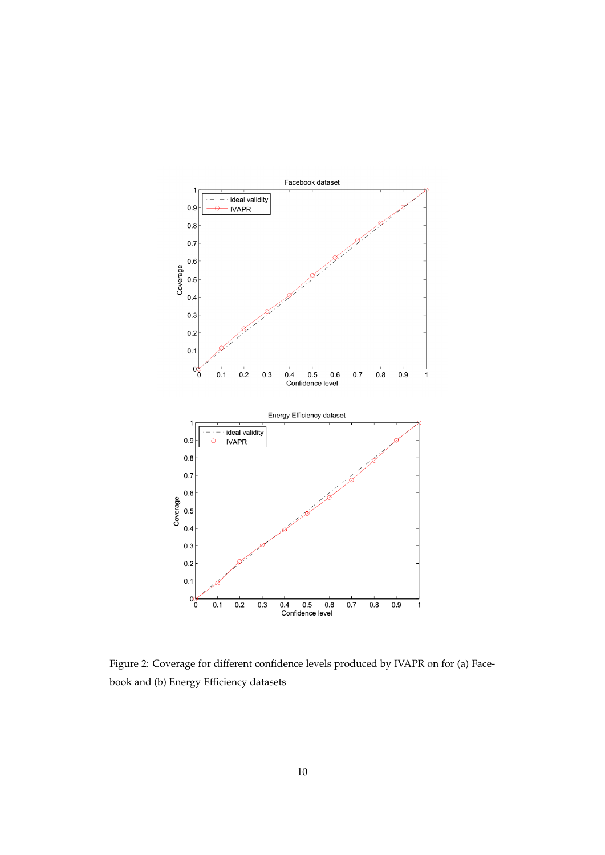

Figure 2: Coverage for different confidence levels produced by IVAPR on for (a) Facebook and (b) Energy Efficiency datasets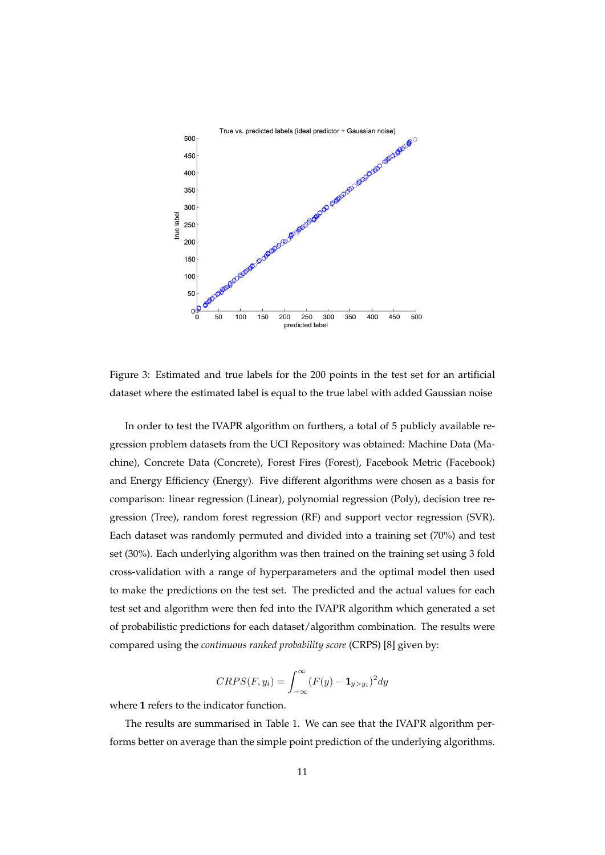

Figure 3: Estimated and true labels for the 200 points in the test set for an artificial dataset where the estimated label is equal to the true label with added Gaussian noise

In order to test the IVAPR algorithm on furthers, a total of 5 publicly available regression problem datasets from the UCI Repository was obtained: Machine Data (Machine), Concrete Data (Concrete), Forest Fires (Forest), Facebook Metric (Facebook) and Energy Efficiency (Energy). Five different algorithms were chosen as a basis for comparison: linear regression (Linear), polynomial regression (Poly), decision tree regression (Tree), random forest regression (RF) and support vector regression (SVR). Each dataset was randomly permuted and divided into a training set (70%) and test set (30%). Each underlying algorithm was then trained on the training set using 3 fold cross-validation with a range of hyperparameters and the optimal model then used to make the predictions on the test set. The predicted and the actual values for each test set and algorithm were then fed into the IVAPR algorithm which generated a set of probabilistic predictions for each dataset/algorithm combination. The results were compared using the *continuous ranked probability score* (CRPS) [8] given by:

$$
CRPS(F, y_i) = \int_{-\infty}^{\infty} (F(y) - \mathbf{1}_{y > y_i})^2 dy
$$

where **1** refers to the indicator function.

The results are summarised in Table 1. We can see that the IVAPR algorithm performs better on average than the simple point prediction of the underlying algorithms.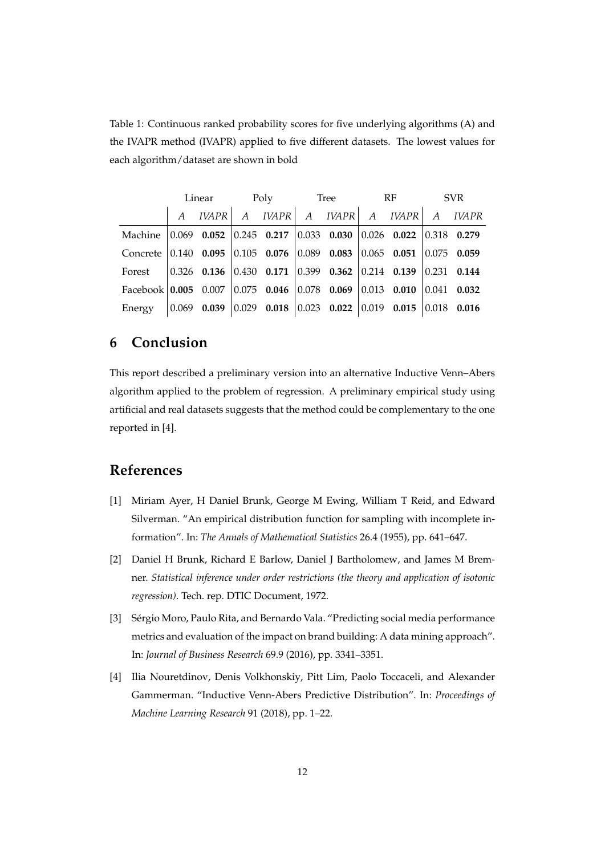Table 1: Continuous ranked probability scores for five underlying algorithms (A) and the IVAPR method (IVAPR) applied to five different datasets. The lowest values for each algorithm/dataset are shown in bold

|                                                                                                          | Linear          |               | Poly |  | Tree |                                                                     | RF |               | <b>SVR</b> |                |
|----------------------------------------------------------------------------------------------------------|-----------------|---------------|------|--|------|---------------------------------------------------------------------|----|---------------|------------|----------------|
|                                                                                                          |                 | <b>IVAPR</b>  |      |  |      | $A$ <i>IVAPR</i> $A$ <i>IVAPR</i> $A$ <i>IVAPR</i> $A$ <i>IVAPR</i> |    |               |            |                |
| Machine $\begin{array}{ l} 0.069 & 0.052 \\ \end{array}$ 0.245 0.217 0.033 0.030 0.026 0.022 0.318 0.279 |                 |               |      |  |      |                                                                     |    |               |            |                |
| Concrete 0.140 0.095                                                                                     |                 |               |      |  |      |                                                                     |    |               |            |                |
| Forest                                                                                                   |                 | $0.326$ 0.136 |      |  |      |                                                                     |    |               |            |                |
| Facebook   0.005 0.007                                                                                   |                 |               |      |  |      |                                                                     |    | $0.013$ 0.010 | 0.041      | 0.032          |
| Energy                                                                                                   | $ 0.069\rangle$ | 0.039         |      |  |      | $0.029$ 0.018 0.023 0.022 0.019 0.015                               |    |               |            | $ 0.018$ 0.016 |

# **6 Conclusion**

This report described a preliminary version into an alternative Inductive Venn–Abers algorithm applied to the problem of regression. A preliminary empirical study using artificial and real datasets suggests that the method could be complementary to the one reported in [4].

# **References**

- [1] Miriam Ayer, H Daniel Brunk, George M Ewing, William T Reid, and Edward Silverman. "An empirical distribution function for sampling with incomplete information". In: *The Annals of Mathematical Statistics* 26.4 (1955), pp. 641–647.
- [2] Daniel H Brunk, Richard E Barlow, Daniel J Bartholomew, and James M Bremner. *Statistical inference under order restrictions (the theory and application of isotonic regression)*. Tech. rep. DTIC Document, 1972.
- [3] Sérgio Moro, Paulo Rita, and Bernardo Vala. "Predicting social media performance metrics and evaluation of the impact on brand building: A data mining approach". In: *Journal of Business Research* 69.9 (2016), pp. 3341–3351.
- [4] Ilia Nouretdinov, Denis Volkhonskiy, Pitt Lim, Paolo Toccaceli, and Alexander Gammerman. "Inductive Venn-Abers Predictive Distribution". In: *Proceedings of Machine Learning Research* 91 (2018), pp. 1–22.